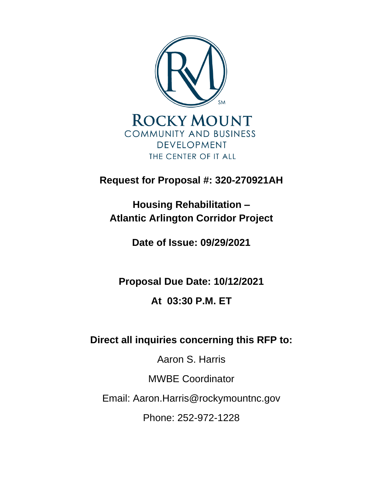

**Request for Proposal #: 320-270921AH**

**Housing Rehabilitation – Atlantic Arlington Corridor Project** 

**Date of Issue: 09/29/2021**

**Proposal Due Date: 10/12/2021**

# **At 03:30 P.M. ET**

**Direct all inquiries concerning this RFP to:** 

Aaron S. Harris

MWBE Coordinator

Email: Aaron.Harris@rockymountnc.gov

Phone: 252-972-1228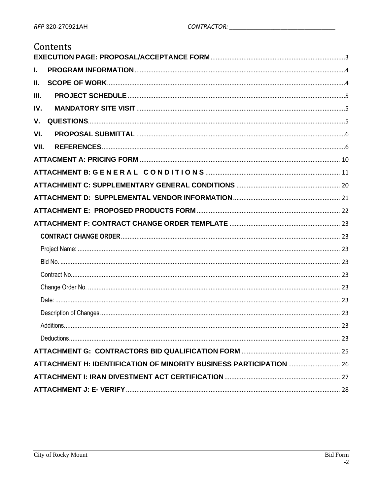# Contents

| L.   |  |
|------|--|
| Ш.   |  |
| III. |  |
| IV.  |  |
| V.   |  |
| VI.  |  |
| VII. |  |
|      |  |
|      |  |
|      |  |
|      |  |
|      |  |
|      |  |
|      |  |
|      |  |
|      |  |
|      |  |
|      |  |
|      |  |
|      |  |
|      |  |
|      |  |
|      |  |
|      |  |
|      |  |
|      |  |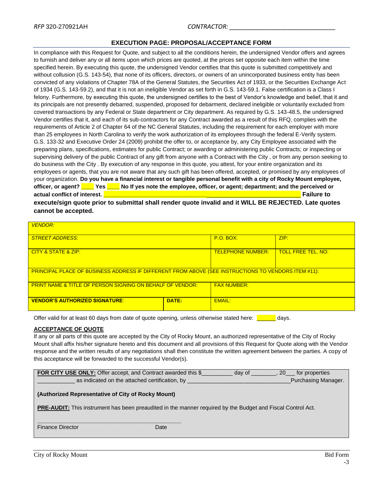### **EXECUTION PAGE: PROPOSAL/ACCEPTANCE FORM**

<span id="page-2-0"></span>In compliance with this Request for Quote, and subject to all the conditions herein, the undersigned Vendor offers and agrees to furnish and deliver any or all items upon which prices are quoted, at the prices set opposite each item within the time specified herein. By executing this quote, the undersigned Vendor certifies that this quote is submitted competitively and without collusion (G.S. 143-54), that none of its officers, directors, or owners of an unincorporated business entity has been convicted of any violations of Chapter 78A of the General Statutes, the Securities Act of 1933, or the Securities Exchange Act of 1934 (G.S. 143-59.2), and that it is not an ineligible Vendor as set forth in G.S. 143-59.1. False certification is a Class I felony. Furthermore, by executing this quote, the undersigned certifies to the best of Vendor's knowledge and belief, that it and its principals are not presently debarred, suspended, proposed for debarment, declared ineligible or voluntarily excluded from covered transactions by any Federal or State department or City department. As required by G.S. 143-48.5, the undersigned Vendor certifies that it, and each of its sub-contractors for any Contract awarded as a result of this RFQ, complies with the requirements of Article 2 of Chapter 64 of the NC General Statutes, including the requirement for each employer with more than 25 employees in North Carolina to verify the work authorization of its employees through the federal E-Verify system. G.S. 133-32 and Executive Order 24 (2009) prohibit the offer to, or acceptance by, any City Employee associated with the preparing plans, specifications, estimates for public Contract; or awarding or administering public Contracts; or inspecting or supervising delivery of the public Contract of any gift from anyone with a Contract with the City , or from any person seeking to do business with the City . By execution of any response in this quote, you attest, for your entire organization and its employees or agents, that you are not aware that any such gift has been offered, accepted, or promised by any employees of your organization. **Do you have a financial interest or tangible personal benefit with a city of Rocky Mount employee, officer, or agent? \_\_\_\_ Yes \_\_\_\_ No If yes note the employee, officer, or agent; department; and the perceived or actual conflict of interest. \_\_\_\_\_\_\_\_\_\_\_\_\_\_\_\_\_\_\_\_\_\_\_\_\_\_\_\_\_\_\_\_\_**\_\_\_\_\_\_\_\_\_\_\_\_\_\_\_\_\_\_\_\_\_\_\_\_\_\_\_\_\_\_ **Failure to** 

**execute/sign quote prior to submittal shall render quote invalid and it WILL BE REJECTED. Late quotes cannot be accepted.**

| <b>VENDOR:</b>                                                                                      |       |                          |                           |  |
|-----------------------------------------------------------------------------------------------------|-------|--------------------------|---------------------------|--|
| <b>STREET ADDRESS:</b>                                                                              |       | $P.O.$ BOX:              | ZIP:                      |  |
| <b>CITY &amp; STATE &amp; ZIP:</b>                                                                  |       | <b>TELEPHONE NUMBER:</b> | <b>TOLL FREE TEL, NO:</b> |  |
| PRINCIPAL PLACE OF BUSINESS ADDRESS IF DIFFERENT FROM ABOVE (SEE INSTRUCTIONS TO VENDORS ITEM #11): |       |                          |                           |  |
| <b>PRINT NAME &amp; TITLE OF PERSON SIGNING ON BEHALF OF VENDOR:</b>                                |       | <b>FAX NUMBER:</b>       |                           |  |
| <b>VENDOR'S AUTHORIZED SIGNATURE:</b>                                                               | DATE: | <b>EMAIL:</b>            |                           |  |

Offer valid for at least 60 days from date of quote opening, unless otherwise stated here: **Example** days.

#### **ACCEPTANCE OF QUOTE**

If any or all parts of this quote are accepted by the City of Rocky Mount, an authorized representative of the City of Rocky Mount shall affix his/her signature hereto and this document and all provisions of this Request for Quote along with the Vendor response and the written results of any negotiations shall then constitute the written agreement between the parties. A copy of this acceptance will be forwarded to the successful Vendor(s).

| FOR CITY USE ONLY: Offer accept, and Contract awarded this \$                                                      | day of | 20 for properties   |
|--------------------------------------------------------------------------------------------------------------------|--------|---------------------|
| as indicated on the attached certification, by                                                                     |        | Purchasing Manager. |
| (Authorized Representative of City of Rocky Mount)                                                                 |        |                     |
| <b>PRE-AUDIT:</b> This instrument has been preaudited in the manner required by the Budget and Fiscal Control Act. |        |                     |
|                                                                                                                    |        |                     |

Finance Director **Date** Date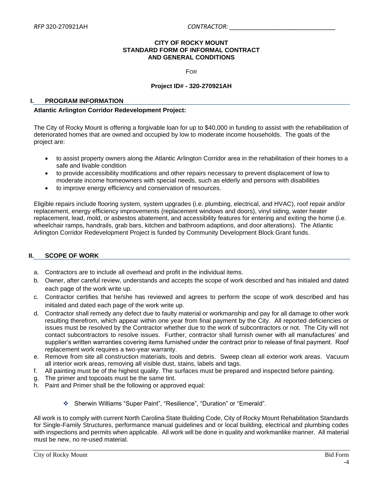#### **CITY OF ROCKY MOUNT STANDARD FORM OF INFORMAL CONTRACT AND GENERAL CONDITIONS**

FOR

#### **Project ID# - 320-270921AH**

#### <span id="page-3-0"></span>**I. PROGRAM INFORMATION**

#### **Atlantic Arlington Corridor Redevelopment Project:**

The City of Rocky Mount is offering a forgivable loan for up to \$40,000 in funding to assist with the rehabilitation of deteriorated homes that are owned and occupied by low to moderate income households. The goals of the project are:

- to assist property owners along the Atlantic Arlington Corridor area in the rehabilitation of their homes to a safe and livable condition
- to provide accessibility modifications and other repairs necessary to prevent displacement of low to moderate income homeowners with special needs, such as elderly and persons with disabilities
- to improve energy efficiency and conservation of resources.

Eligible repairs include flooring system, system upgrades (i.e. plumbing, electrical, and HVAC), roof repair and/or replacement, energy efficiency improvements (replacement windows and doors), vinyl siding, water heater replacement, lead, mold, or asbestos abatement, and accessibility features for entering and exiting the home (i.e. wheelchair ramps, handrails, grab bars, kitchen and bathroom adaptions, and door alterations). The Atlantic Arlington Corridor Redevelopment Project is funded by Community Development Block Grant funds.

### <span id="page-3-1"></span>**II. SCOPE OF WORK**

- a. Contractors are to include all overhead and profit in the individual items.
- b. Owner, after careful review, understands and accepts the scope of work described and has initialed and dated each page of the work write up.
- c. Contractor certifies that he/she has reviewed and agrees to perform the scope of work described and has initialed and dated each page of the work write up.
- d. Contractor shall remedy any defect due to faulty material or workmanship and pay for all damage to other work resulting therefrom, which appear within one year from final payment by the City. All reported deficiencies or issues must be resolved by the Contractor whether due to the work of subcontractors or not. The City will not contact subcontractors to resolve issues. Further, contractor shall furnish owner with all manufactures' and supplier's written warranties covering items furnished under the contract prior to release of final payment. Roof replacement work requires a two-year warranty.
- e. Remove from site all construction materials, tools and debris. Sweep clean all exterior work areas. Vacuum all interior work areas, removing all visible dust, stains, labels and tags.
- f. All painting must be of the highest quality. The surfaces must be prepared and inspected before painting.
- g. The primer and topcoats must be the same tint.
- h. Paint and Primer shall be the following or approved equal:
	- ❖ Sherwin Williams "Super Paint", "Resilience", "Duration" or "Emerald".

All work is to comply with current North Carolina State Building Code, City of Rocky Mount Rehabilitation Standards for Single-Family Structures, performance manual guidelines and or local building, electrical and plumbing codes with inspections and permits when applicable. All work will be done in quality and workmanlike manner. All material must be new, no re-used material.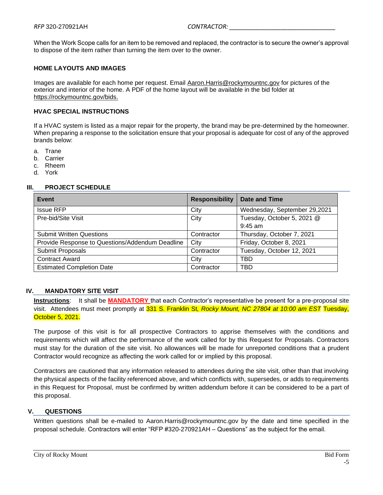When the Work Scope calls for an item to be removed and replaced, the contractor is to secure the owner's approval to dispose of the item rather than turning the item over to the owner.

#### **HOME LAYOUTS AND IMAGES**

Images are available for each home per request. Email [Aaron.Harris@rockymountnc.gov](mailto:ramona.plemmer@rockymountnc.gov) for pictures of the exterior and interior of the home. A PDF of the home layout will be available in the bid folder at https://rockymountnc.gov/bids.

#### **HVAC SPECIAL INSTRUCTIONS**

If a HVAC system is listed as a major repair for the property, the brand may be pre-determined by the homeowner. When preparing a response to the solicitation ensure that your proposal is adequate for cost of any of the approved brands below:

- a. Trane
- b. Carrier
- c. Rheem
- d. York

#### <span id="page-4-0"></span>**III. PROJECT SCHEDULE**

| <b>Event</b>                                    | <b>Responsibility</b> | Date and Time                |
|-------------------------------------------------|-----------------------|------------------------------|
| <b>Issue RFP</b>                                | City                  | Wednesday, September 29,2021 |
| Pre-bid/Site Visit                              | City                  | Tuesday, October 5, 2021 @   |
|                                                 |                       | $9:45$ am                    |
| <b>Submit Written Questions</b>                 | Contractor            | Thursday, October 7, 2021    |
| Provide Response to Questions/Addendum Deadline | City                  | Friday, October 8, 2021      |
| Submit Proposals                                | Contractor            | Tuesday, October 12, 2021    |
| <b>Contract Award</b>                           | City                  | TBD                          |
| <b>Estimated Completion Date</b>                | Contractor            | TBD                          |

### <span id="page-4-1"></span>**IV. MANDATORY SITE VISIT**

**Instructions**: It shall be **MANDATORY** that each Contractor's representative be present for a pre-proposal site visit. Attendees must meet promptly at 331 S. Franklin St*, Rocky Mount, NC 27804 at 10:00 am EST* Tuesday, October 5, 2021.

The purpose of this visit is for all prospective Contractors to apprise themselves with the conditions and requirements which will affect the performance of the work called for by this Request for Proposals. Contractors must stay for the duration of the site visit. No allowances will be made for unreported conditions that a prudent Contractor would recognize as affecting the work called for or implied by this proposal.

Contractors are cautioned that any information released to attendees during the site visit, other than that involving the physical aspects of the facility referenced above, and which conflicts with, supersedes, or adds to requirements in this Request for Proposal, must be confirmed by written addendum before it can be considered to be a part of this proposal.

#### <span id="page-4-2"></span>**V. QUESTIONS**

Written questions shall be e-mailed to Aaron.Harris@rockymountnc.gov by the date and time specified in the proposal schedule. Contractors will enter "RFP #320-270921AH – Questions" as the subject for the email.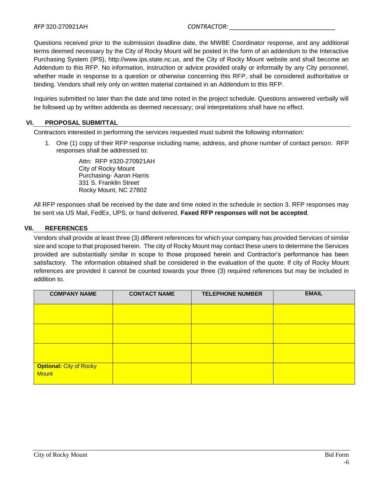Questions received prior to the submission deadline date, the MWBE Coordinator response, and any additional terms deemed necessary by the City of Rocky Mount will be posted in the form of an addendum to the Interactive Purchasing System (IPS), http://www.ips.state.nc.us, and the City of Rocky Mount website and shall become an Addendum to this RFP. No information, instruction or advice provided orally or informally by any City personnel, whether made in response to a question or otherwise concerning this RFP, shall be considered authoritative or binding. Vendors shall rely only on written material contained in an Addendum to this RFP.

Inquiries submitted no later than the date and time noted in the project schedule. Questions answered verbally will be followed up by written addenda as deemed necessary; oral interpretations shall have no effect.

### <span id="page-5-0"></span>**VI. PROPOSAL SUBMITTAL**

Contractors interested in performing the services requested must submit the following information:

1. One (1) copy of their RFP response including name, address, and phone number of contact person. RFP responses shall be addressed to:

> Attn: RFP #320-270921AH City of Rocky Mount Purchasing- Aaron Harris 331 S. Franklin Street Rocky Mount, NC 27802

All RFP responses shall be received by the date and time noted in the schedule in section 3. RFP responses may be sent via US Mail, FedEx, UPS, or hand delivered. **Faxed RFP responses will not be accepted**.

### <span id="page-5-1"></span>**VII. REFERENCES**

Vendors shall provide at least three (3) different references for which your company has provided Services of similar size and scope to that proposed herein. The city of Rocky Mount may contact these users to determine the Services provided are substantially similar in scope to those proposed herein and Contractor's performance has been satisfactory. The information obtained shall be considered in the evaluation of the quote. If city of Rocky Mount references are provided it cannot be counted towards your three (3) required references but may be included in addition to.

| <b>COMPANY NAME</b>            | <b>CONTACT NAME</b> | <b>TELEPHONE NUMBER</b> | <b>EMAIL</b> |
|--------------------------------|---------------------|-------------------------|--------------|
|                                |                     |                         |              |
|                                |                     |                         |              |
|                                |                     |                         |              |
| <b>Optional: City of Rocky</b> |                     |                         |              |
| <b>Mount</b>                   |                     |                         |              |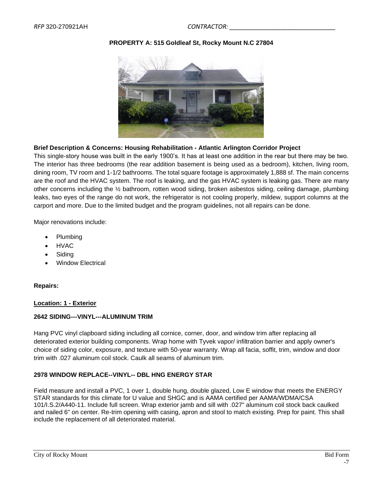### **PROPERTY A: 515 Goldleaf St, Rocky Mount N.C 27804**



### **Brief Description & Concerns: Housing Rehabilitation - Atlantic Arlington Corridor Project**

This single-story house was built in the early 1900's. It has at least one addition in the rear but there may be two. The interior has three bedrooms (the rear addition basement is being used as a bedroom), kitchen, living room, dining room, TV room and 1-1/2 bathrooms. The total square footage is approximately 1,888 sf. The main concerns are the roof and the HVAC system. The roof is leaking, and the gas HVAC system is leaking gas. There are many other concerns including the ½ bathroom, rotten wood siding, broken asbestos siding, ceiling damage, plumbing leaks, two eyes of the range do not work, the refrigerator is not cooling properly, mildew, support columns at the carport and more. Due to the limited budget and the program guidelines, not all repairs can be done.

Major renovations include:

- Plumbing
- HVAC
- **Siding**
- Window Electrical

### **Repairs:**

### **Location: 1 - Exterior**

### **2642 SIDING---VINYL---ALUMINUM TRIM**

Hang PVC vinyl clapboard siding including all cornice, corner, door, and window trim after replacing all deteriorated exterior building components. Wrap home with Tyvek vapor/ infiltration barrier and apply owner's choice of siding color, exposure, and texture with 50-year warranty. Wrap all facia, soffit, trim, window and door trim with .027 aluminum coil stock. Caulk all seams of aluminum trim.

### **2978 WINDOW REPLACE--VINYL-- DBL HNG ENERGY STAR**

Field measure and install a PVC, 1 over 1, double hung, double glazed, Low E window that meets the ENERGY STAR standards for this climate for U value and SHGC and is AAMA certified per AAMA/WDMA/CSA 101/I.S.2/A440-11. Include full screen. Wrap exterior jamb and sill with .027" aluminum coil stock back caulked and nailed 6" on center. Re-trim opening with casing, apron and stool to match existing. Prep for paint. This shall include the replacement of all deteriorated material.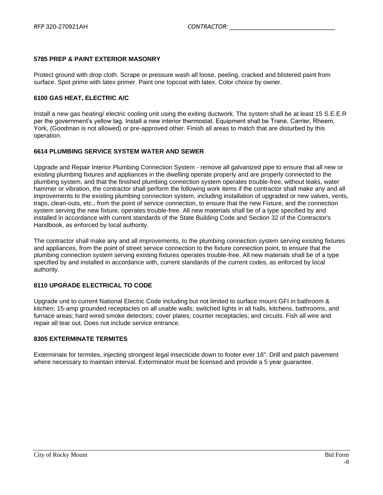### **5785 PREP & PAINT EXTERIOR MASONRY**

Protect ground with drop cloth. Scrape or pressure wash all loose, peeling, cracked and blistered paint from surface. Spot prime with latex primer. Paint one topcoat with latex. Color choice by owner.

#### **6100 GAS HEAT, ELECTRIC A/C**

Install a new gas heating/ electric cooling unit using the exiting ductwork. The system shall be at least 15 S.E.E.R per the government's yellow tag. Install a new interior thermostat. Equipment shall be Trane, Carrier, Rheem, York, (Goodman is not allowed) or pre-approved other. Finish all areas to match that are disturbed by this operation.

### **6614 PLUMBING SERVICE SYSTEM WATER AND SEWER**

Upgrade and Repair Interior Plumbing Connection System - remove all galvanized pipe to ensure that all new or existing plumbing fixtures and appliances in the dwelling operate properly and are properly connected to the plumbing system, and that the finished plumbing connection system operates trouble-free, without leaks, water hammer or vibration, the contractor shall perform the following work items if the contractor shall make any and all improvements to the existing plumbing connection system, including installation of upgraded or new valves, vents, traps, clean-outs, etc., from the point of service connection, to ensure that the new Fixture, and the connection system serving the new fixture, operates trouble-free. All new materials shall be of a type specified by and installed in accordance with current standards of the State Building Code and Section 32 of the Contractor's Handbook, as enforced by local authority.

The contractor shall make any and all improvements, to the plumbing connection system serving existing fixtures and appliances, from the point of street service connection to the fixture connection point, to ensure that the plumbing connection system serving existing fixtures operates trouble-free. All new materials shall be of a type specified by and installed in accordance with, current standards of the current codes, as enforced by local authority.

### **8110 UPGRADE ELECTRICAL TO CODE**

Upgrade unit to current National Electric Code including but not limited to surface mount GFI in bathroom & kitchen; 15-amp grounded receptacles on all usable walls; switched lights in all halls, kitchens, bathrooms, and furnace areas; hard wired smoke detectors; cover plates; counter receptacles; and circuits. Fish all wire and repair all tear out. Does not include service entrance.

#### **8305 EXTERMINATE TERMITES**

Exterminate for termites, injecting strongest legal insecticide down to footer ever 16". Drill and patch pavement where necessary to maintain interval. Exterminator must be licensed and provide a 5 year guarantee.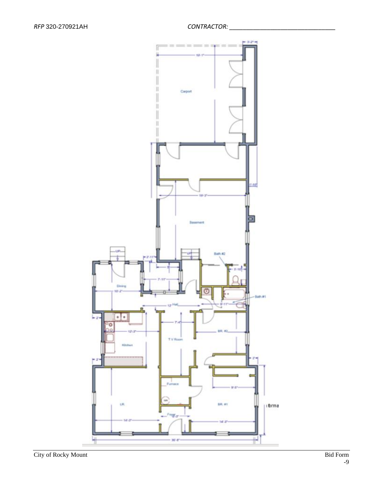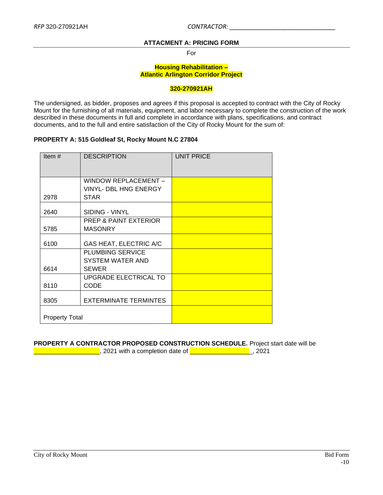### **ATTACMENT A: PRICING FORM**

For

#### **Housing Rehabilitation – Atlantic Arlington Corridor Project**

#### **320-270921AH**

<span id="page-9-0"></span>The undersigned, as bidder, proposes and agrees if this proposal is accepted to contract with the City of Rocky Mount for the furnishing of all materials, equipment, and labor necessary to complete the construction of the work described in these documents in full and complete in accordance with plans, specifications, and contract documents, and to the full and entire satisfaction of the City of Rocky Mount for the sum of:

### **PROPERTY A: 515 Goldleaf St, Rocky Mount N.C 27804**

| Item $#$              | <b>DESCRIPTION</b>           | <b>UNIT PRICE</b> |
|-----------------------|------------------------------|-------------------|
|                       | WINDOW REPLACEMENT -         |                   |
|                       | <b>VINYL- DBL HNG ENERGY</b> |                   |
| 2978                  | <b>STAR</b>                  |                   |
| 2640                  | SIDING - VINYL               |                   |
|                       | PREP & PAINT EXTERIOR        |                   |
| 5785                  | <b>MASONRY</b>               |                   |
| 6100                  | GAS HEAT, ELECTRIC A/C       |                   |
|                       | <b>PLUMBING SERVICE</b>      |                   |
|                       | SYSTEM WATER AND             |                   |
| 6614                  | <b>SEWER</b>                 |                   |
|                       | UPGRADE ELECTRICAL TO        |                   |
| 8110                  | <b>CODE</b>                  |                   |
| 8305                  | <b>EXTERMINATE TERMINTES</b> |                   |
| <b>Property Total</b> |                              |                   |

### **PROPERTY A CONTRACTOR PROPOSED CONSTRUCTION SCHEDULE.** Project start date will be

\_\_\_\_\_\_\_\_\_\_\_\_\_\_\_\_\_\_\_, 2021 with a completion date of \_\_\_\_\_\_\_\_\_\_\_\_\_\_\_\_\_\_, 2021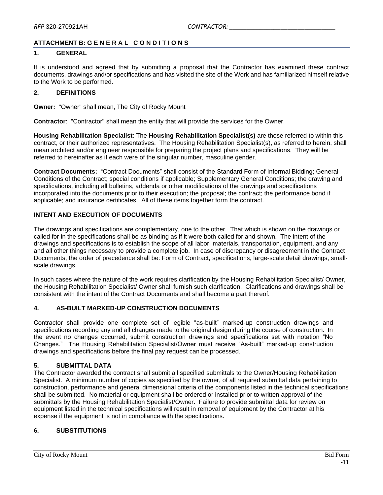### <span id="page-10-0"></span>**ATTACHMENT B: G E N E R A L C O N D I T I O N S**

#### **1. GENERAL**

It is understood and agreed that by submitting a proposal that the Contractor has examined these contract documents, drawings and/or specifications and has visited the site of the Work and has familiarized himself relative to the Work to be performed.

### **2. DEFINITIONS**

**Owner:** "Owner" shall mean, The City of Rocky Mount

**Contractor**: "Contractor" shall mean the entity that will provide the services for the Owner.

**Housing Rehabilitation Specialist**: The **Housing Rehabilitation Specialist(s)** are those referred to within this contract, or their authorized representatives. The Housing Rehabilitation Specialist(s), as referred to herein, shall mean architect and/or engineer responsible for preparing the project plans and specifications. They will be referred to hereinafter as if each were of the singular number, masculine gender.

**Contract Documents:** "Contract Documents" shall consist of the Standard Form of Informal Bidding; General Conditions of the Contract; special conditions if applicable; Supplementary General Conditions; the drawing and specifications, including all bulletins, addenda or other modifications of the drawings and specifications incorporated into the documents prior to their execution; the proposal; the contract; the performance bond if applicable; and insurance certificates. All of these items together form the contract.

### **INTENT AND EXECUTION OF DOCUMENTS**

The drawings and specifications are complementary, one to the other. That which is shown on the drawings or called for in the specifications shall be as binding as if it were both called for and shown. The intent of the drawings and specifications is to establish the scope of all labor, materials, transportation, equipment, and any and all other things necessary to provide a complete job. In case of discrepancy or disagreement in the Contract Documents, the order of precedence shall be: Form of Contract, specifications, large-scale detail drawings, smallscale drawings.

In such cases where the nature of the work requires clarification by the Housing Rehabilitation Specialist/ Owner, the Housing Rehabilitation Specialist/ Owner shall furnish such clarification. Clarifications and drawings shall be consistent with the intent of the Contract Documents and shall become a part thereof.

#### **4. AS-BUILT MARKED-UP CONSTRUCTION DOCUMENTS**

Contractor shall provide one complete set of legible "as-built" marked-up construction drawings and specifications recording any and all changes made to the original design during the course of construction. In the event no changes occurred, submit construction drawings and specifications set with notation "No Changes." The Housing Rehabilitation Specialist/Owner must receive "As-built" marked-up construction drawings and specifications before the final pay request can be processed.

#### **5. SUBMITTAL DATA**

The Contractor awarded the contract shall submit all specified submittals to the Owner/Housing Rehabilitation Specialist. A minimum number of copies as specified by the owner, of all required submittal data pertaining to construction, performance and general dimensional criteria of the components listed in the technical specifications shall be submitted. No material or equipment shall be ordered or installed prior to written approval of the submittals by the Housing Rehabilitation Specialist/Owner. Failure to provide submittal data for review on equipment listed in the technical specifications will result in removal of equipment by the Contractor at his expense if the equipment is not in compliance with the specifications.

### **6. SUBSTITUTIONS**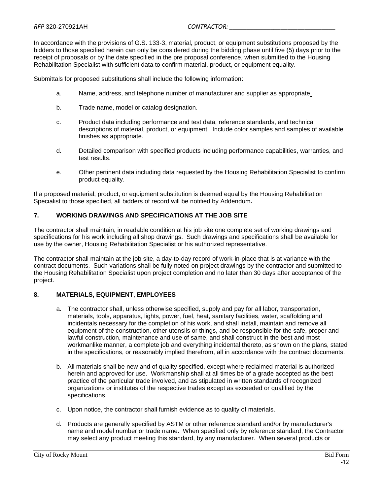In accordance with the provisions of G.S. 133-3, material, product, or equipment substitutions proposed by the bidders to those specified herein can only be considered during the bidding phase until five (5) days prior to the receipt of proposals or by the date specified in the pre proposal conference, when submitted to the Housing Rehabilitation Specialist with sufficient data to confirm material, product, or equipment equality.

Submittals for proposed substitutions shall include the following information:

- a. Name, address, and telephone number of manufacturer and supplier as appropriate.
- b. Trade name, model or catalog designation.
- c. Product data including performance and test data, reference standards, and technical descriptions of material, product, or equipment. Include color samples and samples of available finishes as appropriate.
- d. Detailed comparison with specified products including performance capabilities, warranties, and test results.
- e. Other pertinent data including data requested by the Housing Rehabilitation Specialist to confirm product equality.

If a proposed material, product, or equipment substitution is deemed equal by the Housing Rehabilitation Specialist to those specified, all bidders of record will be notified by Addendum*.*

### **7. WORKING DRAWINGS AND SPECIFICATIONS AT THE JOB SITE**

The contractor shall maintain, in readable condition at his job site one complete set of working drawings and specifications for his work including all shop drawings. Such drawings and specifications shall be available for use by the owner, Housing Rehabilitation Specialist or his authorized representative.

The contractor shall maintain at the job site, a day-to-day record of work-in-place that is at variance with the contract documents. Such variations shall be fully noted on project drawings by the contractor and submitted to the Housing Rehabilitation Specialist upon project completion and no later than 30 days after acceptance of the project.

### **8. MATERIALS, EQUIPMENT, EMPLOYEES**

- a. The contractor shall, unless otherwise specified, supply and pay for all labor, transportation, materials, tools, apparatus, lights, power, fuel, heat, sanitary facilities, water, scaffolding and incidentals necessary for the completion of his work, and shall install, maintain and remove all equipment of the construction, other utensils or things, and be responsible for the safe, proper and lawful construction, maintenance and use of same, and shall construct in the best and most workmanlike manner, a complete job and everything incidental thereto, as shown on the plans, stated in the specifications, or reasonably implied therefrom, all in accordance with the contract documents.
- b. All materials shall be new and of quality specified, except where reclaimed material is authorized herein and approved for use. Workmanship shall at all times be of a grade accepted as the best practice of the particular trade involved, and as stipulated in written standards of recognized organizations or institutes of the respective trades except as exceeded or qualified by the specifications.
- c. Upon notice, the contractor shall furnish evidence as to quality of materials.
- d. Products are generally specified by ASTM or other reference standard and/or by manufacturer's name and model number or trade name. When specified only by reference standard, the Contractor may select any product meeting this standard, by any manufacturer. When several products or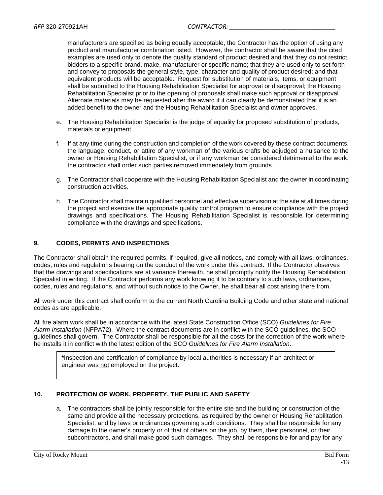manufacturers are specified as being equally acceptable, the Contractor has the option of using any product and manufacturer combination listed. However, the contractor shall be aware that the cited examples are used only to denote the quality standard of product desired and that they do not restrict bidders to a specific brand, make, manufacturer or specific name; that they are used only to set forth and convey to proposals the general style, type, character and quality of product desired; and that equivalent products will be acceptable. Request for substitution of materials, items, or equipment shall be submitted to the Housing Rehabilitation Specialist for approval or disapproval; the Housing Rehabilitation Specialist prior to the opening of proposals shall make such approval or disapproval. Alternate materials may be requested after the award if it can clearly be demonstrated that it is an added benefit to the owner and the Housing Rehabilitation Specialist and owner approves.

- e. The Housing Rehabilitation Specialist is the judge of equality for proposed substitution of products, materials or equipment.
- f. If at any time during the construction and completion of the work covered by these contract documents, the language, conduct, or attire of any workman of the various crafts be adjudged a nuisance to the owner or Housing Rehabilitation Specialist, or if any workman be considered detrimental to the work, the contractor shall order such parties removed immediately from grounds.
- g. The Contractor shall cooperate with the Housing Rehabilitation Specialist and the owner in coordinating construction activities.
- h. The Contractor shall maintain qualified personnel and effective supervision at the site at all times during the project and exercise the appropriate quality control program to ensure compliance with the project drawings and specifications. The Housing Rehabilitation Specialist is responsible for determining compliance with the drawings and specifications.

### **9. CODES, PERMITS AND INSPECTIONS**

The Contractor shall obtain the required permits, if required, give all notices, and comply with all laws, ordinances, codes, rules and regulations bearing on the conduct of the work under this contract. If the Contractor observes that the drawings and specifications are at variance therewith, he shall promptly notify the Housing Rehabilitation Specialist in writing. If the Contractor performs any work knowing it to be contrary to such laws, ordinances, codes, rules and regulations, and without such notice to the Owner, he shall bear all cost arising there from.

All work under this contract shall conform to the current North Carolina Building Code and other state and national codes as are applicable.

All fire alarm work shall be in accordance with the latest State Construction Office (SCO) *Guidelines for Fire Alarm Installation* (NFPA72). Where the contract documents are in conflict with the SCO guidelines, the SCO guidelines shall govern. The Contractor shall be responsible for all the costs for the correction of the work where he installs it in conflict with the latest edition of the SCO *Guidelines for Fire Alarm Installation*.

**\***Inspection and certification of compliance by local authorities is necessary if an architect or engineer was not employed on the project.

#### **10. PROTECTION OF WORK, PROPERTY, THE PUBLIC AND SAFETY**

a. The contractors shall be jointly responsible for the entire site and the building or construction of the same and provide all the necessary protections, as required by the owner or Housing Rehabilitation Specialist, and by laws or ordinances governing such conditions. They shall be responsible for any damage to the owner's property or of that of others on the job, by them, their personnel, or their subcontractors, and shall make good such damages. They shall be responsible for and pay for any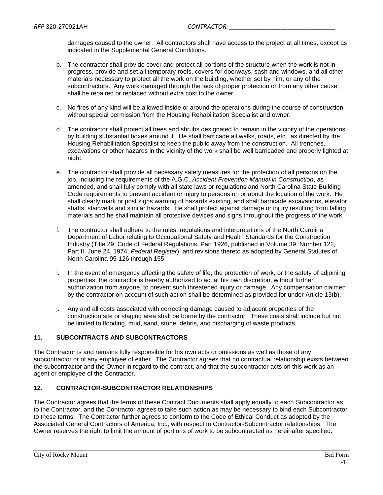damages caused to the owner. All contractors shall have access to the project at all times, except as indicated in the Supplemental General Conditions.

- b. The contractor shall provide cover and protect all portions of the structure when the work is not in progress, provide and set all temporary roofs, covers for doorways, sash and windows, and all other materials necessary to protect all the work on the building, whether set by him, or any of the subcontractors. Any work damaged through the lack of proper protection or from any other cause, shall be repaired or replaced without extra cost to the owner.
- c. No fires of any kind will be allowed inside or around the operations during the course of construction without special permission from the Housing Rehabilitation Specialist and owner.
- d. The contractor shall protect all trees and shrubs designated to remain in the vicinity of the operations by building substantial boxes around it. He shall barricade all walks, roads, etc., as directed by the Housing Rehabilitation Specialist to keep the public away from the construction. All trenches, excavations or other hazards in the vicinity of the work shall be well barricaded and properly lighted at night.
- e. The contractor shall provide all necessary safety measures for the protection of all persons on the job, including the requirements of the A.G.C. *Accident Prevention Manual in Construction*, as amended, and shall fully comply with all state laws or regulations and North Carolina State Building Code requirements to prevent accident or injury to persons on or about the location of the work. He shall clearly mark or post signs warning of hazards existing, and shall barricade excavations, elevator shafts, stairwells and similar hazards. He shall protect against damage or injury resulting from falling materials and he shall maintain all protective devices and signs throughout the progress of the work.
- f. The contractor shall adhere to the rules, regulations and interpretations of the North Carolina Department of Labor relating to Occupational Safety and Health Standards for the Construction Industry (Title 29, Code of Federal Regulations, Part 1926, published in Volume 39, Number 122, Part II, June 24, 1974, *Federal Register*), and revisions thereto as adopted by General Statutes of North Carolina 95-126 through 155.
- i. In the event of emergency affecting the safety of life, the protection of work, or the safety of adjoining properties, the contractor is hereby authorized to act at his own discretion, without further authorization from anyone, to prevent such threatened injury or damage. Any compensation claimed by the contractor on account of such action shall be determined as provided for under Article 13(b).
- j. Any and all costs associated with correcting damage caused to adjacent properties of the construction site or staging area shall be borne by the contractor. These costs shall include but not be limited to flooding, mud, sand, stone, debris, and discharging of waste products.

### **11. SUBCONTRACTS AND SUBCONTRACTORS**

The Contractor is and remains fully responsible for his own acts or omissions as well as those of any subcontractor or of any employee of either. The Contractor agrees that no contractual relationship exists between the subcontractor and the Owner in regard to the contract, and that the subcontractor acts on this work as an agent or employee of the Contractor.

### **12. CONTRACTOR-SUBCONTRACTOR RELATIONSHIPS**

The Contractor agrees that the terms of these Contract Documents shall apply equally to each Subcontractor as to the Contractor, and the Contractor agrees to take such action as may be necessary to bind each Subcontractor to these terms. The Contractor further agrees to conform to the Code of Ethical Conduct as adopted by the Associated General Contractors of America, Inc., with respect to Contractor-Subcontractor relationships. The Owner reserves the right to limit the amount of portions of work to be subcontracted as hereinafter specified.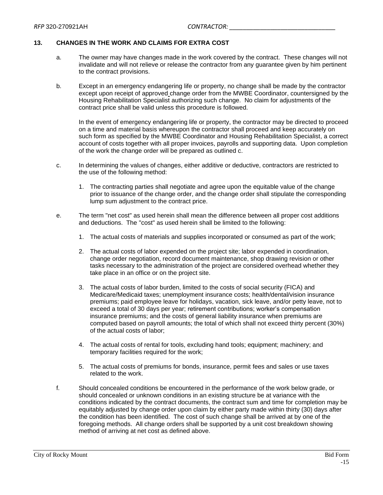### **13. CHANGES IN THE WORK AND CLAIMS FOR EXTRA COST**

- a. The owner may have changes made in the work covered by the contract. These changes will not invalidate and will not relieve or release the contractor from any guarantee given by him pertinent to the contract provisions.
- b. Except in an emergency endangering life or property, no change shall be made by the contractor except upon receipt of approved change order from the MWBE Coordinator, countersigned by the Housing Rehabilitation Specialist authorizing such change. No claim for adjustments of the contract price shall be valid unless this procedure is followed.

In the event of emergency endangering life or property, the contractor may be directed to proceed on a time and material basis whereupon the contractor shall proceed and keep accurately on such form as specified by the MWBE Coordinator and Housing Rehabilitation Specialist, a correct account of costs together with all proper invoices, payrolls and supporting data. Upon completion of the work the change order will be prepared as outlined c.

- c. In determining the values of changes, either additive or deductive, contractors are restricted to the use of the following method:
	- 1. The contracting parties shall negotiate and agree upon the equitable value of the change prior to issuance of the change order, and the change order shall stipulate the corresponding lump sum adjustment to the contract price.
- e. The term "net cost" as used herein shall mean the difference between all proper cost additions and deductions. The "cost" as used herein shall be limited to the following:
	- 1. The actual costs of materials and supplies incorporated or consumed as part of the work;
	- 2. The actual costs of labor expended on the project site; labor expended in coordination, change order negotiation, record document maintenance, shop drawing revision or other tasks necessary to the administration of the project are considered overhead whether they take place in an office or on the project site.
	- 3. The actual costs of labor burden, limited to the costs of social security (FICA) and Medicare/Medicaid taxes; unemployment insurance costs; health/dental/vision insurance premiums; paid employee leave for holidays, vacation, sick leave, and/or petty leave, not to exceed a total of 30 days per year; retirement contributions; worker's compensation insurance premiums; and the costs of general liability insurance when premiums are computed based on payroll amounts; the total of which shall not exceed thirty percent (30%) of the actual costs of labor;
	- 4. The actual costs of rental for tools, excluding hand tools; equipment; machinery; and temporary facilities required for the work;
	- 5. The actual costs of premiums for bonds, insurance, permit fees and sales or use taxes related to the work.
- f. Should concealed conditions be encountered in the performance of the work below grade, or should concealed or unknown conditions in an existing structure be at variance with the conditions indicated by the contract documents, the contract sum and time for completion may be equitably adjusted by change order upon claim by either party made within thirty (30) days after the condition has been identified. The cost of such change shall be arrived at by one of the foregoing methods. All change orders shall be supported by a unit cost breakdown showing method of arriving at net cost as defined above.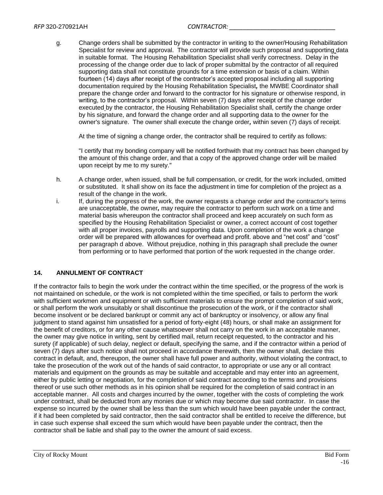g. Change orders shall be submitted by the contractor in writing to the owner/Housing Rehabilitation Specialist for review and approval. The contractor will provide such proposal and supporting data in suitable format. The Housing Rehabilitation Specialist shall verify correctness. Delay in the processing of the change order due to lack of proper submittal by the contractor of all required supporting data shall not constitute grounds for a time extension or basis of a claim. Within fourteen (14) days after receipt of the contractor's accepted proposal including all supporting documentation required by the Housing Rehabilitation Specialist*,* the MWBE Coordinator shall prepare the change order and forward to the contractor for his signature or otherwise respond, in writing, to the contractor's proposal. Within seven (7) days after receipt of the change order executed by the contractor, the Housing Rehabilitation Specialist shall, certify the change order by his signature, and forward the change order and all supporting data to the owner for the owner's signature. The owner shall execute the change order*,* within seven (7) days of receipt.

At the time of signing a change order, the contractor shall be required to certify as follows:

"I certify that my bonding company will be notified forthwith that my contract has been changed by the amount of this change order, and that a copy of the approved change order will be mailed upon receipt by me to my surety."

- h. A change order, when issued, shall be full compensation, or credit, for the work included, omitted or substituted. It shall show on its face the adjustment in time for completion of the project as a result of the change in the work.
- i. If, during the progress of the work, the owner requests a change order and the contractor's terms are unacceptable, the owner*,* may require the contractor to perform such work on a time and material basis whereupon the contractor shall proceed and keep accurately on such form as specified by the Housing Rehabilitation Specialist or owner, a correct account of cost together with all proper invoices, payrolls and supporting data. Upon completion of the work a change order will be prepared with allowances for overhead and profit. above and "net cost" and "cost" per paragraph d above. Without prejudice, nothing in this paragraph shall preclude the owner from performing or to have performed that portion of the work requested in the change order.

### **14. ANNULMENT OF CONTRACT**

If the contractor fails to begin the work under the contract within the time specified, or the progress of the work is not maintained on schedule, or the work is not completed within the time specified, or fails to perform the work with sufficient workmen and equipment or with sufficient materials to ensure the prompt completion of said work, or shall perform the work unsuitably or shall discontinue the prosecution of the work, or if the contractor shall become insolvent or be declared bankrupt or commit any act of bankruptcy or insolvency, or allow any final judgment to stand against him unsatisfied for a period of forty-eight (48) hours, or shall make an assignment for the benefit of creditors, or for any other cause whatsoever shall not carry on the work in an acceptable manner, the owner may give notice in writing, sent by certified mail, return receipt requested, to the contractor and his surety (if applicable) of such delay, neglect or default, specifying the same, and if the contractor within a period of seven (7) days after such notice shall not proceed in accordance therewith, then the owner shall, declare this contract in default, and, thereupon, the owner shall have full power and authority, without violating the contract, to take the prosecution of the work out of the hands of said contractor, to appropriate or use any or all contract materials and equipment on the grounds as may be suitable and acceptable and may enter into an agreement, either by public letting or negotiation, for the completion of said contract according to the terms and provisions thereof or use such other methods as in his opinion shall be required for the completion of said contract in an acceptable manner. All costs and charges incurred by the owner, together with the costs of completing the work under contract, shall be deducted from any monies due or which may become due said contractor. In case the expense so incurred by the owner shall be less than the sum which would have been payable under the contract, if it had been completed by said contractor, then the said contractor shall be entitled to receive the difference, but in case such expense shall exceed the sum which would have been payable under the contract, then the contractor shall be liable and shall pay to the owner the amount of said excess.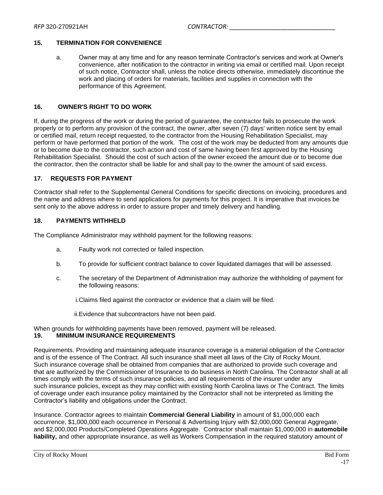#### **15. TERMINATION FOR CONVENIENCE**

a. Owner may at any time and for any reason terminate Contractor's services and work at Owner's convenience, after notification to the contractor in writing via email or certified mail. Upon receipt of such notice, Contractor shall, unless the notice directs otherwise, immediately discontinue the work and placing of orders for materials, facilities and supplies in connection with the performance of this Agreement.

### **16. OWNER'S RIGHT TO DO WORK**

If, during the progress of the work or during the period of guarantee, the contractor fails to prosecute the work properly or to perform any provision of the contract, the owner, after seven (7) days' written notice sent by email or certified mail, return receipt requested, to the contractor from the Housing Rehabilitation Specialist, may perform or have performed that portion of the work. The cost of the work may be deducted from any amounts due or to become due to the contractor, such action and cost of same having been first approved by the Housing Rehabilitation Specialist. Should the cost of such action of the owner exceed the amount due or to become due the contractor, then the contractor shall be liable for and shall pay to the owner the amount of said excess.

### **17. REQUESTS FOR PAYMENT**

Contractor shall refer to the Supplemental General Conditions for specific directions on invoicing, procedures and the name and address where to send applications for payments for this project. It is imperative that invoices be sent only to the above address in order to assure proper and timely delivery and handling.

#### **18. PAYMENTS WITHHELD**

The Compliance Administrator may withhold payment for the following reasons:

- a. Faulty work not corrected or failed inspection.
- b. To provide for sufficient contract balance to cover liquidated damages that will be assessed.
- c. The secretary of the Department of Administration may authorize the withholding of payment for the following reasons:
	- i.Claims filed against the contractor or evidence that a claim will be filed.
	- ii.Evidence that subcontractors have not been paid.

#### When grounds for withholding payments have been removed, payment will be released. **19. MINIMUM INSURANCE REQUIREMENTS**

Requirements. Providing and maintaining adequate insurance coverage is a material obligation of the Contractor and is of the essence of The Contract. All such insurance shall meet all laws of the City of Rocky Mount. Such insurance coverage shall be obtained from companies that are authorized to provide such coverage and that are authorized by the Commissioner of Insurance to do business in North Carolina. The Contractor shall at all times comply with the terms of such insurance policies, and all requirements of the insurer under any such insurance policies, except as they may conflict with existing North Carolina laws or The Contract. The limits of coverage under each insurance policy maintained by the Contractor shall not be interpreted as limiting the Contractor's liability and obligations under the Contract.

Insurance. Contractor agrees to maintain **Commercial General Liability** in amount of \$1,000,000 each occurrence, \$1,000,000 each occurrence in Personal & Advertising Injury with \$2,000,000 General Aggregate, and \$2,000,000 Products/Completed Operations Aggregate. Contractor shall maintain \$1,000,000 in **automobile liability,** and other appropriate insurance, as well as Workers Compensation in the required statutory amount of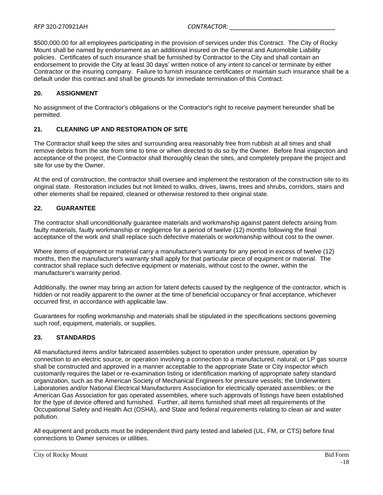\$500,000.00 for all employees participating in the provision of services under this Contract. The City of Rocky Mount shall be named by endorsement as an additional insured on the General and Automobile Liability policies. Certificates of such insurance shall be furnished by Contractor to the City and shall contain an endorsement to provide the City at least 30 days' written notice of any intent to cancel or terminate by either Contractor or the insuring company. Failure to furnish insurance certificates or maintain such insurance shall be a default under this contract and shall be grounds for immediate termination of this Contract.

### **20. ASSIGNMENT**

No assignment of the Contractor's obligations or the Contractor's right to receive payment hereunder shall be permitted.

#### **21. CLEANING UP AND RESTORATION OF SITE**

The Contractor shall keep the sites and surrounding area reasonably free from rubbish at all times and shall remove debris from the site from time to time or when directed to do so by the Owner. Before final inspection and acceptance of the project, the Contractor shall thoroughly clean the sites, and completely prepare the project and site for use by the Owner.

At the end of construction, the contractor shall oversee and implement the restoration of the construction site to its original state. Restoration includes but not limited to walks, drives, lawns, trees and shrubs, corridors, stairs and other elements shall be repaired, cleaned or otherwise restored to their original state.

#### **22. GUARANTEE**

The contractor shall unconditionally guarantee materials and workmanship against patent defects arising from faulty materials, faulty workmanship or negligence for a period of twelve (12) months following the final acceptance of the work and shall replace such defective materials or workmanship without cost to the owner.

Where items of equipment or material carry a manufacturer's warranty for any period in excess of twelve (12) months, then the manufacturer's warranty shall apply for that particular piece of equipment or material. The contractor shall replace such defective equipment or materials, without cost to the owner, within the manufacturer's warranty period.

Additionally, the owner may bring an action for latent defects caused by the negligence of the contractor, which is hidden or not readily apparent to the owner at the time of beneficial occupancy or final acceptance, whichever occurred first, in accordance with applicable law.

Guarantees for roofing workmanship and materials shall be stipulated in the specifications sections governing such roof, equipment, materials, or supplies.

### **23. STANDARDS**

All manufactured items and/or fabricated assemblies subject to operation under pressure, operation by connection to an electric source, or operation involving a connection to a manufactured, natural, or LP gas source shall be constructed and approved in a manner acceptable to the appropriate State or City inspector which customarily requires the label or re-examination listing or identification marking of appropriate safety standard organization, such as the American Society of Mechanical Engineers for pressure vessels; the Underwriters Laboratories and/or National Electrical Manufacturers Association for electrically operated assemblies; or the American Gas Association for gas operated assemblies, where such approvals of listings have been established for the type of device offered and furnished. Further, all items furnished shall meet all requirements of the Occupational Safety and Health Act (OSHA), and State and federal requirements relating to clean air and water pollution.

All equipment and products must be independent third party tested and labeled (UL, FM, or CTS) before final connections to Owner services or utilities.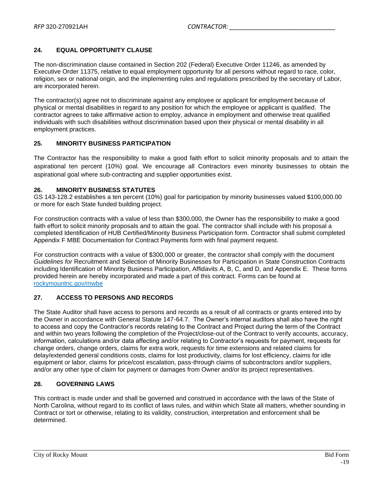### **24. EQUAL OPPORTUNITY CLAUSE**

The non-discrimination clause contained in Section 202 (Federal) Executive Order 11246, as amended by Executive Order 11375, relative to equal employment opportunity for all persons without regard to race, color, religion, sex or national origin, and the implementing rules and regulations prescribed by the secretary of Labor, are incorporated herein.

The contractor(s) agree not to discriminate against any employee or applicant for employment because of physical or mental disabilities in regard to any position for which the employee or applicant is qualified. The contractor agrees to take affirmative action to employ, advance in employment and otherwise treat qualified individuals with such disabilities without discrimination based upon their physical or mental disability in all employment practices.

#### **25. MINORITY BUSINESS PARTICIPATION**

The Contractor has the responsibility to make a good faith effort to solicit minority proposals and to attain the aspirational ten percent (10%) goal. We encourage all Contractors even minority businesses to obtain the aspirational goal where sub-contracting and supplier opportunities exist.

#### **26. MINORITY BUSINESS STATUTES**

GS 143-128.2 establishes a ten percent (10%) goal for participation by minority businesses valued \$100,000.00 or more for each State funded building project.

For construction contracts with a value of less than \$300,000, the Owner has the responsibility to make a good faith effort to solicit minority proposals and to attain the goal. The contractor shall include with his proposal a completed Identification of HUB Certified/Minority Business Participation form. Contractor shall submit completed Appendix F MBE Documentation for Contract Payments form with final payment request.

For construction contracts with a value of \$300,000 or greater, the contractor shall comply with the document *Guidelines for* Recruitment and Selection of Minority Businesses for Participation in State Construction Contracts including Identification of Minority Business Participation, Affidavits A, B, C, and D, and Appendix E. These forms provided herein are hereby incorporated and made a part of this contract. Forms can be found at rockymountnc.gov/mwbe

### **27. ACCESS TO PERSONS AND RECORDS**

The State Auditor shall have access to persons and records as a result of all contracts or grants entered into by the Owner in accordance with General Statute 147-64.7. The Owner's internal auditors shall also have the right to access and copy the Contractor's records relating to the Contract and Project during the term of the Contract and within two years following the completion of the Project/close-out of the Contract to verify accounts, accuracy, information, calculations and/or data affecting and/or relating to Contractor's requests for payment, requests for change orders, change orders, claims for extra work, requests for time extensions and related claims for delay/extended general conditions costs, claims for lost productivity, claims for lost efficiency, claims for idle equipment or labor, claims for price/cost escalation, pass-through claims of subcontractors and/or suppliers, and/or any other type of claim for payment or damages from Owner and/or its project representatives.

### **28. GOVERNING LAWS**

This contract is made under and shall be governed and construed in accordance with the laws of the State of North Carolina, without regard to its conflict of laws rules, and within which State all matters, whether sounding in Contract or tort or otherwise, relating to its validity, construction, interpretation and enforcement shall be determined.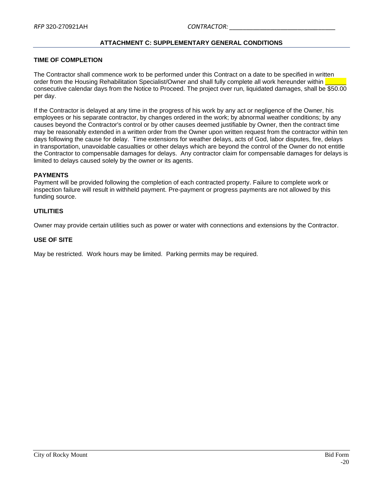### **ATTACHMENT C: SUPPLEMENTARY GENERAL CONDITIONS**

#### <span id="page-19-0"></span>**TIME OF COMPLETION**

The Contractor shall commence work to be performed under this Contract on a date to be specified in written order from the Housing Rehabilitation Specialist/Owner and shall fully complete all work hereunder within consecutive calendar days from the Notice to Proceed. The project over run, liquidated damages, shall be \$50.00 per day.

If the Contractor is delayed at any time in the progress of his work by any act or negligence of the Owner, his employees or his separate contractor, by changes ordered in the work; by abnormal weather conditions; by any causes beyond the Contractor's control or by other causes deemed justifiable by Owner, then the contract time may be reasonably extended in a written order from the Owner upon written request from the contractor within ten days following the cause for delay. Time extensions for weather delays, acts of God, labor disputes, fire, delays in transportation, unavoidable casualties or other delays which are beyond the control of the Owner do not entitle the Contractor to compensable damages for delays. Any contractor claim for compensable damages for delays is limited to delays caused solely by the owner or its agents.

#### **PAYMENTS**

Payment will be provided following the completion of each contracted property. Failure to complete work or inspection failure will result in withheld payment. Pre-payment or progress payments are not allowed by this funding source.

#### **UTILITIES**

Owner may provide certain utilities such as power or water with connections and extensions by the Contractor.

#### **USE OF SITE**

May be restricted. Work hours may be limited. Parking permits may be required.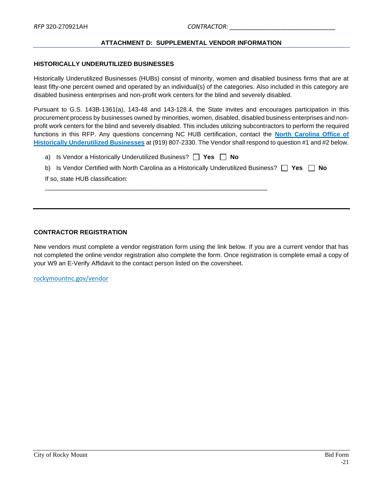#### **ATTACHMENT D: SUPPLEMENTAL VENDOR INFORMATION**

#### <span id="page-20-0"></span>**HISTORICALLY UNDERUTILIZED BUSINESSES**

Historically Underutilized Businesses (HUBs) consist of minority, women and disabled business firms that are at least fifty-one percent owned and operated by an individual(s) of the categories. Also included in this category are disabled business enterprises and non-profit work centers for the blind and severely disabled.

Pursuant to G.S. 143B-1361(a), 143-48 and 143-128.4, the State invites and encourages participation in this procurement process by businesses owned by minorities, women, disabled, disabled business enterprises and nonprofit work centers for the blind and severely disabled. This includes utilizing subcontractors to perform the required functions in this RFP. Any questions concerning NC HUB certification, contact the **[North Carolina Office of](http://ncadmin.nc.gov/businesses/hub)  [Historically Underutilized Businesses](http://ncadmin.nc.gov/businesses/hub)** at (919) 807-2330. The Vendor shall respond to question #1 and #2 below.

| a) Is Vendor a Historically Underutilized Business? $\vert \vert$ Yes $\vert \vert$ No                                  |
|-------------------------------------------------------------------------------------------------------------------------|
| b) Is Vendor Certified with North Carolina as a Historically Underutilized Business? $\vert \vert$ Yes $\vert \vert$ No |
| If so, state HUB classification:                                                                                        |
|                                                                                                                         |

#### **CONTRACTOR REGISTRATION**

New vendors must complete a vendor registration form using the link below. If you are a current vendor that has not completed the online vendor registration also complete the form. Once registration is complete email a copy of your W9 an E-Verify Affidavit to the contact person listed on the coversheet.

rockymountnc.gov/vendor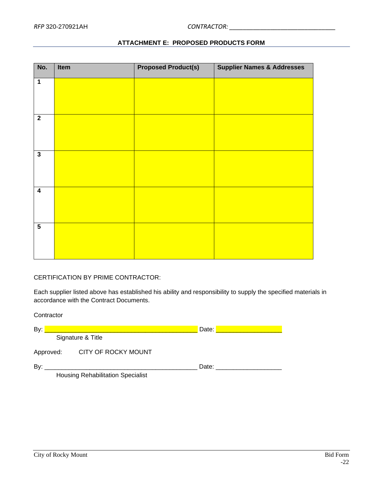<span id="page-21-0"></span>

| No.                     | Item | <b>Proposed Product(s)</b> | <b>Supplier Names &amp; Addresses</b> |
|-------------------------|------|----------------------------|---------------------------------------|
| $\overline{1}$          |      |                            |                                       |
| $\overline{\mathbf{2}}$ |      |                            |                                       |
| $\overline{3}$          |      |                            |                                       |
| $\overline{\mathbf{4}}$ |      |                            |                                       |
| $\overline{\mathbf{5}}$ |      |                            |                                       |

### **ATTACHMENT E: PROPOSED PRODUCTS FORM**

### CERTIFICATION BY PRIME CONTRACTOR:

Each supplier listed above has established his ability and responsibility to supply the specified materials in accordance with the Contract Documents.

**Contractor** 

| By: |           |                                          | Date: |  |
|-----|-----------|------------------------------------------|-------|--|
|     |           | Signature & Title                        |       |  |
|     | Approved: | CITY OF ROCKY MOUNT                      |       |  |
| By: |           |                                          | Date: |  |
|     |           | <b>Housing Rehabilitation Specialist</b> |       |  |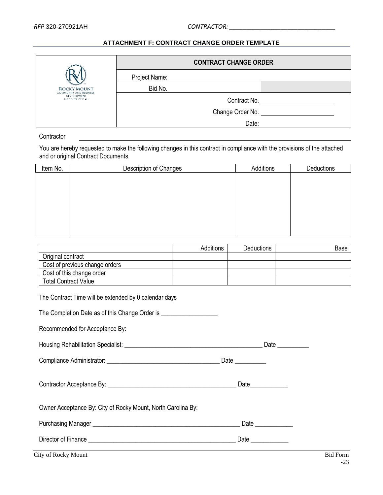### <span id="page-22-9"></span><span id="page-22-8"></span><span id="page-22-6"></span><span id="page-22-5"></span><span id="page-22-4"></span><span id="page-22-3"></span><span id="page-22-2"></span><span id="page-22-1"></span>**ATTACHMENT F: CONTRACT CHANGE ORDER TEMPLATE**

<span id="page-22-0"></span>

|                                                     |               | <b>CONTRACT CHANGE ORDER</b> |  |
|-----------------------------------------------------|---------------|------------------------------|--|
|                                                     | Project Name: |                              |  |
| <b>ROCKY MOUNT</b><br><b>COMMUNITY AND BUSINESS</b> | Bid No.       |                              |  |
| <b>DEVELOPMENT</b><br>THE CENTER OF IT ALL          |               | Contract No.                 |  |
|                                                     |               | Change Order No.             |  |
|                                                     |               | Date:                        |  |

#### **Contractor**

You are hereby requested to make the following changes in this contract in compliance with the provisions of the attached and or original Contract Documents.

<span id="page-22-7"></span>

| Item No. | Description of Changes | Additions | Deductions |
|----------|------------------------|-----------|------------|
|          |                        |           |            |
|          |                        |           |            |
|          |                        |           |            |
|          |                        |           |            |
|          |                        |           |            |
|          |                        |           |            |
|          |                        |           |            |

|                                | <b>Additions</b> | <b>Deductions</b> | Base |
|--------------------------------|------------------|-------------------|------|
| Original contract              |                  |                   |      |
| Cost of previous change orders |                  |                   |      |
| Cost of this change order      |                  |                   |      |
| <b>Total Contract Value</b>    |                  |                   |      |

| The Contract Time will be extended by 0 calendar days |
|-------------------------------------------------------|
|-------------------------------------------------------|

The Completion Date as of this Change Order is

Recommended for Acceptance By:

|  |  | Housing Rehabilitation Specialist: |  |  | )ato |
|--|--|------------------------------------|--|--|------|
|--|--|------------------------------------|--|--|------|

Compliance Administrator: \_\_\_\_\_\_\_\_\_\_\_\_\_\_\_\_\_\_\_\_\_\_\_\_\_\_\_\_\_\_\_\_\_\_\_\_ Date \_\_\_\_\_\_\_\_\_\_

Contractor Acceptance By: \_\_\_\_\_\_\_\_\_\_\_\_\_\_\_\_\_\_\_\_\_\_\_\_\_\_\_\_\_\_\_\_\_\_\_\_\_\_\_\_\_ Date\_\_\_\_\_\_\_\_\_\_\_\_

Owner Acceptance By: City of Rocky Mount, North Carolina By:

| <b>Purchasing Manager</b> | )ate |
|---------------------------|------|
|                           |      |

Director of Finance \_\_\_\_\_\_\_\_\_\_\_\_\_\_\_\_\_\_\_\_\_\_\_\_\_\_\_\_\_\_\_\_\_\_\_\_\_\_\_\_\_\_\_\_\_\_\_ Date \_\_\_\_\_\_\_\_\_\_\_\_

City of Rocky Mount Bid Form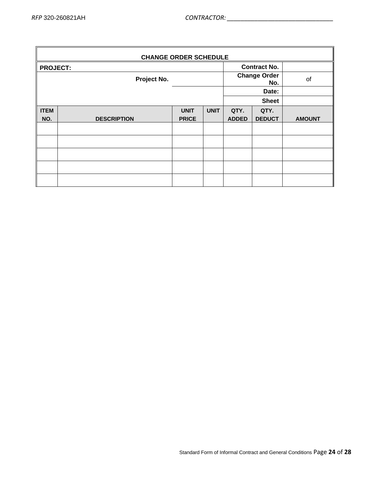| <b>CHANGE ORDER SCHEDULE</b>           |                    |              |                            |              |               |               |
|----------------------------------------|--------------------|--------------|----------------------------|--------------|---------------|---------------|
| <b>Contract No.</b><br><b>PROJECT:</b> |                    |              |                            |              |               |               |
| Project No.                            |                    |              | <b>Change Order</b><br>No. | of           |               |               |
| Date:                                  |                    |              |                            |              |               |               |
|                                        |                    |              |                            |              | <b>Sheet</b>  |               |
| <b>ITEM</b>                            |                    | <b>UNIT</b>  | <b>UNIT</b>                | QTY.         | QTY.          |               |
| NO.                                    | <b>DESCRIPTION</b> | <b>PRICE</b> |                            | <b>ADDED</b> | <b>DEDUCT</b> | <b>AMOUNT</b> |
|                                        |                    |              |                            |              |               |               |
|                                        |                    |              |                            |              |               |               |
|                                        |                    |              |                            |              |               |               |
|                                        |                    |              |                            |              |               |               |
|                                        |                    |              |                            |              |               |               |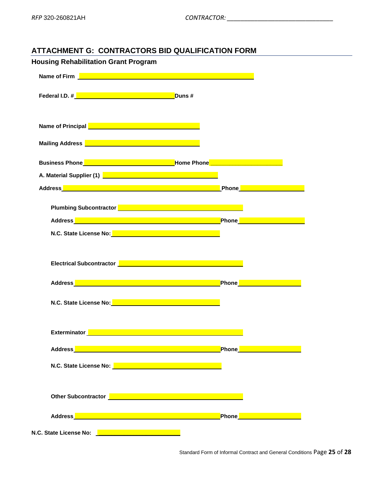# <span id="page-24-0"></span>**ATTACHMENT G: CONTRACTORS BID QUALIFICATION FORM**

| <b>Housing Rehabilitation Grant Program</b>                                                                                                                                                                                          |                                         |  |
|--------------------------------------------------------------------------------------------------------------------------------------------------------------------------------------------------------------------------------------|-----------------------------------------|--|
| Name of Firm <b>Name of Firm and Contract the Contract of Contract of Contract of Contract of Contract of Contract of Contract of Contract of Contract of Contract of Contract of Contract of Contract of Contract of Contract o</b> |                                         |  |
| Federal I.D. # <u>New York New York New York New York New York New York New York New York New York New York New York New York New York New York New York New York New York New York New York New York New York New York New York</u> |                                         |  |
| Name of Principal <b>Name of Principal Act of Act of Act of Act of Act of Act of Act of Act of Act of Act of Act o</b>                                                                                                               |                                         |  |
| Mailing Address <b>Demonstration of the Contract of Address</b>                                                                                                                                                                      |                                         |  |
| Business Phone <u>Product Community of Business Phone Phone Phone Phone Community of Business Phone Phone Commun</u>                                                                                                                 |                                         |  |
| A. Material Supplier (1) <b>A. Material Supplier (1)</b>                                                                                                                                                                             |                                         |  |
|                                                                                                                                                                                                                                      |                                         |  |
| Plumbing Subcontractor <b>Plumbing Subcontractor</b>                                                                                                                                                                                 |                                         |  |
|                                                                                                                                                                                                                                      |                                         |  |
| N.C. State License No: Network and Network and Network and Network and Network and                                                                                                                                                   |                                         |  |
| Electrical Subcontractor <u>New York New York New York New York New York New York New York New York New York New York New York New York New York New York New York New York New York New York New York New York New York New Yor</u> |                                         |  |
|                                                                                                                                                                                                                                      |                                         |  |
|                                                                                                                                                                                                                                      | Phone <b>Property Community</b>         |  |
| N.C. State License No: Value of the Contract of the Contract of the Contract of the Contract of the Contract o                                                                                                                       |                                         |  |
| Exterminator <b>Contract Contract Contract Contract Contract Contract Contract Contract Contract Contract Contract Contract Contract Contract Contract Contract Contract Contract Contract Contract Contract Contract Contract C</b> |                                         |  |
|                                                                                                                                                                                                                                      |                                         |  |
| Address <b>Management Community Community</b>                                                                                                                                                                                        | Phone <mark>______________</mark>       |  |
| N.C. State License No: Network and Network and Network and Network and Network and                                                                                                                                                   |                                         |  |
| Other Subcontractor <b>Department of the Contractor Contractor</b>                                                                                                                                                                   |                                         |  |
|                                                                                                                                                                                                                                      | <b>Phone Contract Contract Property</b> |  |
| N.C. State License No: 2008 - 2009 - 2009 - 2009 - 2009 - 2009 - 2009 - 2009 - 2009 - 2009 - 2009 - 2009 - 20                                                                                                                        |                                         |  |

Standard Form of Informal Contract and General Conditions Page **25** of **28**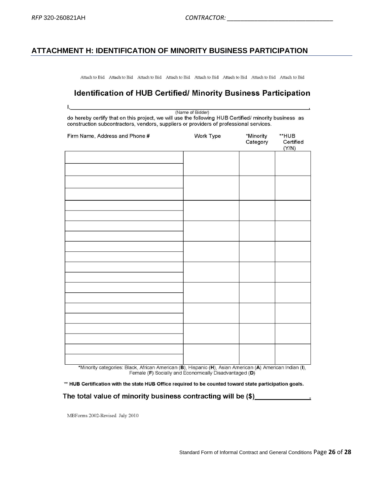## <span id="page-25-0"></span>**ATTACHMENT H: IDENTIFICATION OF MINORITY BUSINESS PARTICIPATION**

Attach to Bid Attach to Bid Attach to Bid Attach to Bid Attach to Bid Attach to Bid Attach to Bid Attach to Bid

# **Identification of HUB Certified/ Minority Business Participation**

I, (Name of Bidder) do hereby certify that on this project, we will use the following HUB Certified/ minority business as construction subcontractors, vendors, suppliers or providers of professional services.

| Firm Name, Address and Phone # | Work Type | *Minority<br>Category | **HUB<br>Certified<br>(Y/N) |
|--------------------------------|-----------|-----------------------|-----------------------------|
|                                |           |                       |                             |
|                                |           |                       |                             |
|                                |           |                       |                             |
|                                |           |                       |                             |
|                                |           |                       |                             |
|                                |           |                       |                             |
|                                |           |                       |                             |
|                                |           |                       |                             |
|                                |           |                       |                             |
|                                |           |                       |                             |

\*Minority categories: Black, African American (B), Hispanic (H), Asian American (A) American Indian (I), Female (F) Socially and Economically Disadvantaged (D)

\*\* HUB Certification with the state HUB Office required to be counted toward state participation goals.

The total value of minority business contracting will be (\$)

MBForms 2002-Revised July 2010

 $\bar{\mathbf{x}}$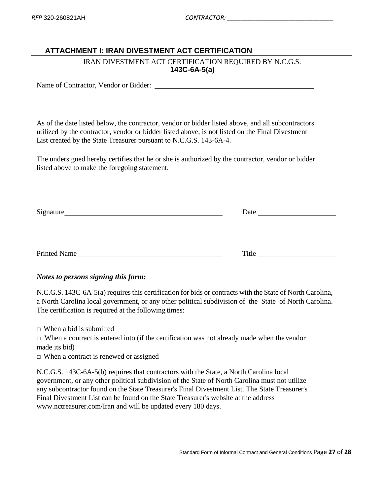# <span id="page-26-0"></span>**ATTACHMENT I: IRAN DIVESTMENT ACT CERTIFICATION**

## IRAN DIVESTMENT ACT CERTIFICATION REQUIRED BY N.C.G.S. **143C-6A-5(a)**

Name of Contractor, Vendor or Bidder:

As of the date listed below, the contractor, vendor or bidder listed above, and all subcontractors utilized by the contractor, vendor or bidder listed above, is not listed on the Final Divestment List created by the State Treasurer pursuant to N.C.G.S. 143-6A-4.

The undersigned hereby certifies that he or she is authorized by the contractor, vendor or bidder listed above to make the foregoing statement.

| Signature           | Date  |  |
|---------------------|-------|--|
|                     |       |  |
|                     |       |  |
|                     |       |  |
| <b>Printed Name</b> | Title |  |

# *Notes to persons signing this form:*

N.C.G.S. 143C-6A-5(a) requires this certification for bids or contracts with the State of North Carolina, a North Carolina local government, or any other political subdivision of the State of North Carolina. The certification is required at the following times:

 $\Box$  When a bid is submitted

 $\Box$  When a contract is entered into (if the certification was not already made when the vendor made its bid)

 $\Box$  When a contract is renewed or assigned

N.C.G.S. 143C-6A-5(b) requires that contractors with the State, a North Carolina local government, or any other political subdivision of the State of North Carolina must not utilize any subcontractor found on the State Treasurer's Final Divestment List. The State Treasurer's Final Divestment List can be found on the State Treasurer's website at the address www.nctreasurer.com/Iran and will be updated every 180 days.